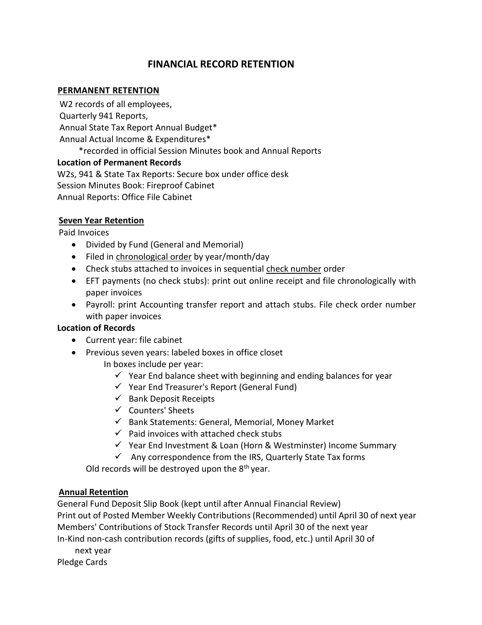# **FINANCIAL RECORD RETENTION**

#### **PERMANENT RETENTION**

W2 records of all employees, Quarterly 941 Reports, Annual State Tax Report Annual Budget\* Annual Actual Income & Expenditures\* \*recorded in official Session Minutes book and Annual Reports **Location of Permanent Records** W2s, 941 & State Tax Reports: Secure box under office desk Session Minutes Book: Fireproof Cabinet Annual Reports: Office File Cabinet

#### **Seven Year Retention**

Paid Invoices

- Divided by Fund (General and Memorial)
- Filed in chronological order by year/month/day
- Check stubs attached to invoices in sequential check number order
- EFT payments (no check stubs): print out online receipt and file chronologically with paper invoices
- Payroll: print Accounting transfer report and attach stubs. File check order number with paper invoices

## **Location of Records**

- Current year: file cabinet
- Previous seven years: labeled boxes in office closet
	- In boxes include per year:
		- $\checkmark$  Year End balance sheet with beginning and ending balances for year
		- ✓ Year End Treasurer's Report (General Fund)
		- $\checkmark$  Bank Deposit Receipts
		- ✓ Counters' Sheets
		- $\checkmark$  Bank Statements: General, Memorial, Money Market
		- $\checkmark$  Paid invoices with attached check stubs
		- ✓ Year End Investment & Loan (Horn & Westminster) Income Summary
		- $\checkmark$  Any correspondence from the IRS, Quarterly State Tax forms

Old records will be destroyed upon the  $8<sup>th</sup>$  year.

## **Annual Retention**

General Fund Deposit Slip Book (kept until after Annual Financial Review) Print out of Posted Member Weekly Contributions (Recommended) until April 30 of next year Members' Contributions of Stock Transfer Records until April 30 of the next year In-Kind non-cash contribution records (gifts of supplies, food, etc.) until April 30 of

next year Pledge Cards